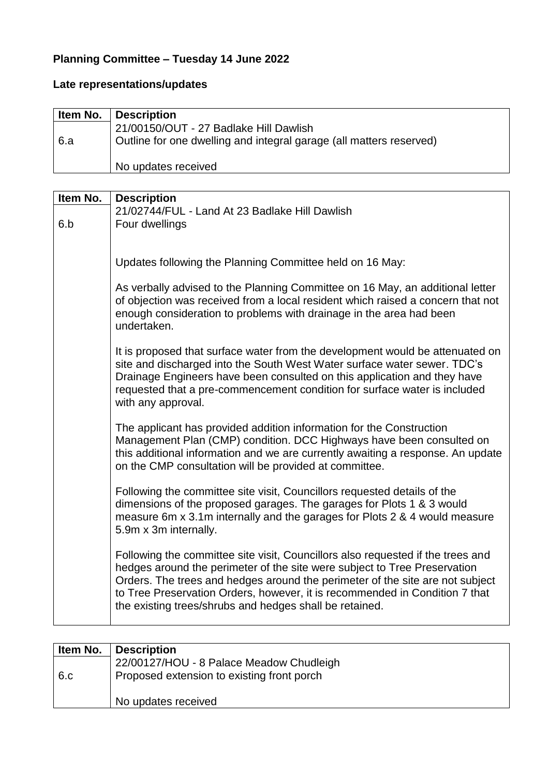## **Planning Committee – Tuesday 14 June 2022**

## **Late representations/updates**

| Item No. | <b>Description</b>                                                  |
|----------|---------------------------------------------------------------------|
|          | 21/00150/OUT - 27 Badlake Hill Dawlish                              |
| 6.a      | Outline for one dwelling and integral garage (all matters reserved) |
|          | No updates received                                                 |

| Item No. | <b>Description</b>                                                                                                                                                                                                                                                                                                                                                                      |
|----------|-----------------------------------------------------------------------------------------------------------------------------------------------------------------------------------------------------------------------------------------------------------------------------------------------------------------------------------------------------------------------------------------|
|          | 21/02744/FUL - Land At 23 Badlake Hill Dawlish                                                                                                                                                                                                                                                                                                                                          |
| 6.b      | Four dwellings                                                                                                                                                                                                                                                                                                                                                                          |
|          |                                                                                                                                                                                                                                                                                                                                                                                         |
|          | Updates following the Planning Committee held on 16 May:                                                                                                                                                                                                                                                                                                                                |
|          | As verbally advised to the Planning Committee on 16 May, an additional letter<br>of objection was received from a local resident which raised a concern that not<br>enough consideration to problems with drainage in the area had been<br>undertaken.                                                                                                                                  |
|          | It is proposed that surface water from the development would be attenuated on<br>site and discharged into the South West Water surface water sewer. TDC's<br>Drainage Engineers have been consulted on this application and they have<br>requested that a pre-commencement condition for surface water is included<br>with any approval.                                                |
|          | The applicant has provided addition information for the Construction<br>Management Plan (CMP) condition. DCC Highways have been consulted on<br>this additional information and we are currently awaiting a response. An update<br>on the CMP consultation will be provided at committee.                                                                                               |
|          | Following the committee site visit, Councillors requested details of the<br>dimensions of the proposed garages. The garages for Plots 1 & 3 would<br>measure 6m x 3.1m internally and the garages for Plots 2 & 4 would measure<br>5.9m x 3m internally.                                                                                                                                |
|          | Following the committee site visit, Councillors also requested if the trees and<br>hedges around the perimeter of the site were subject to Tree Preservation<br>Orders. The trees and hedges around the perimeter of the site are not subject<br>to Tree Preservation Orders, however, it is recommended in Condition 7 that<br>the existing trees/shrubs and hedges shall be retained. |

| Item No. | <b>Description</b>                         |
|----------|--------------------------------------------|
|          | 22/00127/HOU - 8 Palace Meadow Chudleigh   |
| 6.c      | Proposed extension to existing front porch |
|          | No updates received                        |